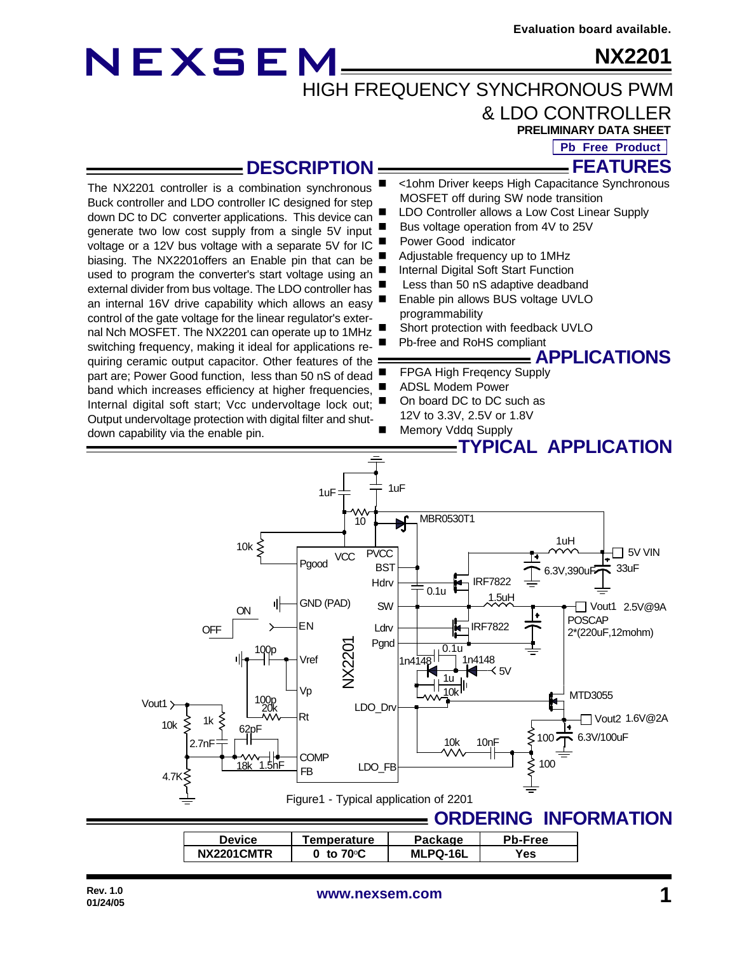**Evaluation board available.**

**NX2201**

HIGH FREQUENCY SYNCHRONOUS PWM

& LDO CONTROLLER

**PRELIMINARY DATA SHEET Pb Free Product**

#### **DESCRIPTION**

NEXSEM

**TYPICAL APPLICATION** The NX2201 controller is a combination synchronous Buck controller and LDO controller IC designed for step down DC to DC converter applications. This device can generate two low cost supply from a single 5V input voltage or a 12V bus voltage with a separate 5V for IC biasing. The NX2201offers an Enable pin that can be used to program the converter's start voltage using an external divider from bus voltage. The LDO controller has an internal 16V drive capability which allows an easy control of the gate voltage for the linear regulator's external Nch MOSFET. The NX2201 can operate up to 1MHz switching frequency, making it ideal for applications requiring ceramic output capacitor. Other features of the part are; Power Good function, less than 50 nS of dead band which increases efficiency at higher frequencies, Internal digital soft start; Vcc undervoltage lock out; Output undervoltage protection with digital filter and shutdown capability via the enable pin. <1ohm Driver keeps High Capacitance Synchronous MOSFET off during SW node transition LDO Controller allows a Low Cost Linear Supply Bus voltage operation from 4V to 25V Power Good indicator n Adjustable frequency up to 1MHz Internal Digital Soft Start Function Less than 50 nS adaptive deadband Enable pin allows BUS voltage UVLO programmability Short protection with feedback UVLO Pb-free and RoHS compliant **FEATURES APPLICATIONS** FPGA High Freqency Supply ADSL Modem Power n On board DC to DC such as 12V to 3.3V, 2.5V or 1.8V Memory Vddq Supply IRF7822 6.3V,390uF 1uH **BST Hdrv**  $PVCC$   $\qquad \qquad \qquad \qquad \frac{1}{10}$   $\qquad \qquad \frac{1}{10}$  5V VIN 10 1uF $\pm$   $\pm$  1uF **VCC** 0.1u Pgood 10 $k \geq$ 33uF MBR0530T1



 **NX2201CMTR 0 to 70**o**C MLPQ-16L Yes**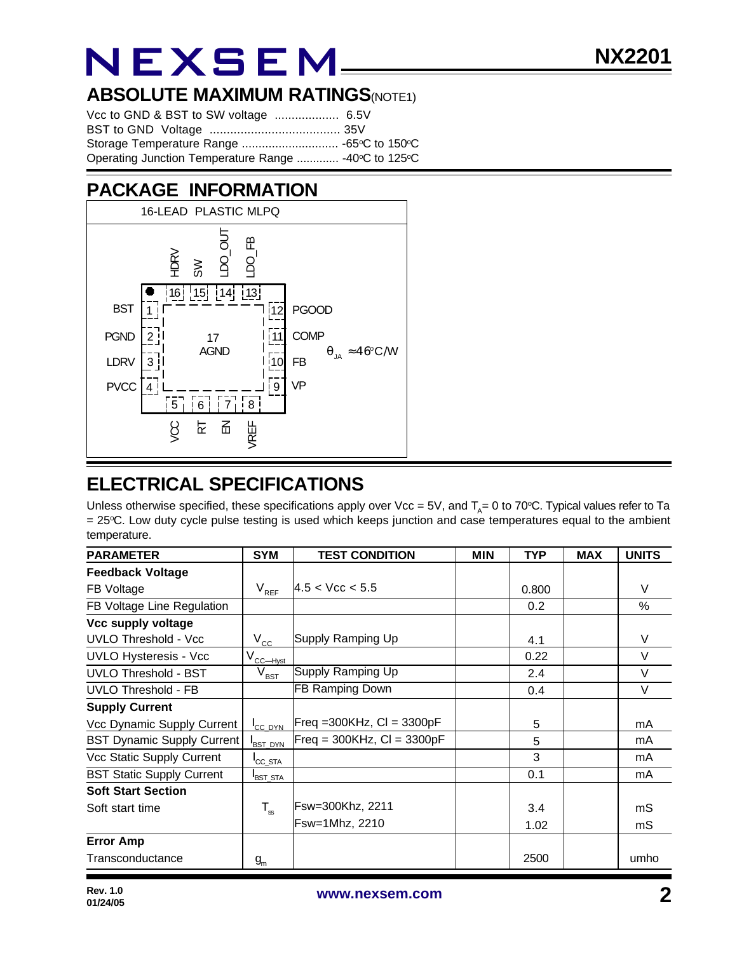# NEXSEM

#### **ABSOLUTE MAXIMUM RATINGS(NOTE1)**

| Operating Junction Temperature Range  -40°C to 125°C |  |
|------------------------------------------------------|--|

### **PACKAGE INFORMATION**



#### **ELECTRICAL SPECIFICATIONS**

Unless otherwise specified, these specifications apply over Vcc = 5V, and T<sub>A</sub>= 0 to 70°C. Typical values refer to Ta = 25°C. Low duty cycle pulse testing is used which keeps junction and case temperatures equal to the ambient temperature.

| <b>PARAMETER</b>                  | <b>SYM</b>                         | <b>TEST CONDITION</b>           | <b>MIN</b> | <b>TYP</b> | <b>MAX</b> | <b>UNITS</b> |
|-----------------------------------|------------------------------------|---------------------------------|------------|------------|------------|--------------|
| <b>Feedback Voltage</b>           |                                    |                                 |            |            |            |              |
| FB Voltage                        | $V_{REF}$                          | 4.5 < V <sub>CC</sub> < 5.5     |            | 0.800      |            | V            |
| FB Voltage Line Regulation        |                                    |                                 |            | 0.2        |            | %            |
| Vcc supply voltage                |                                    |                                 |            |            |            |              |
| <b>UVLO Threshold - Vcc</b>       | $V_{\rm cc}$                       | Supply Ramping Up               |            | 4.1        |            | V            |
| <b>UVLO Hysteresis - Vcc</b>      | ${\rm V}_{\rm CC\rightarrow Hyst}$ |                                 |            | 0.22       |            | V            |
| <b>UVLO Threshold - BST</b>       | $\rm V_{BST}$                      | Supply Ramping Up               |            | 2.4        |            | V            |
| <b>UVLO Threshold - FB</b>        |                                    | FB Ramping Down                 |            | 0.4        |            | V            |
| <b>Supply Current</b>             |                                    |                                 |            |            |            |              |
| Vcc Dynamic Supply Current        | I <sub>CC</sub> DYN                | $Freq = 300KHz$ , $Cl = 3300pF$ |            | 5          |            | mA           |
| <b>BST Dynamic Supply Current</b> | <b>BST DYN</b>                     | $Freq = 300KHz$ , $Cl = 3300pF$ |            | 5          |            | mA           |
| Vcc Static Supply Current         | <sup>I</sup> CC_STA                |                                 |            | 3          |            | mA           |
| <b>BST Static Supply Current</b>  | <b>BST STA</b>                     |                                 |            | 0.1        |            | mA           |
| <b>Soft Start Section</b>         |                                    |                                 |            |            |            |              |
| Soft start time                   | $\mathsf{T}_{\mathrm{ss}}$         | Fsw=300Khz, 2211                |            | 3.4        |            | mS           |
|                                   |                                    | Fsw=1Mhz, 2210                  |            | 1.02       |            | mS           |
| <b>Error Amp</b>                  |                                    |                                 |            |            |            |              |
| Transconductance                  | $g_{\rm m}$                        |                                 |            | 2500       |            | umho         |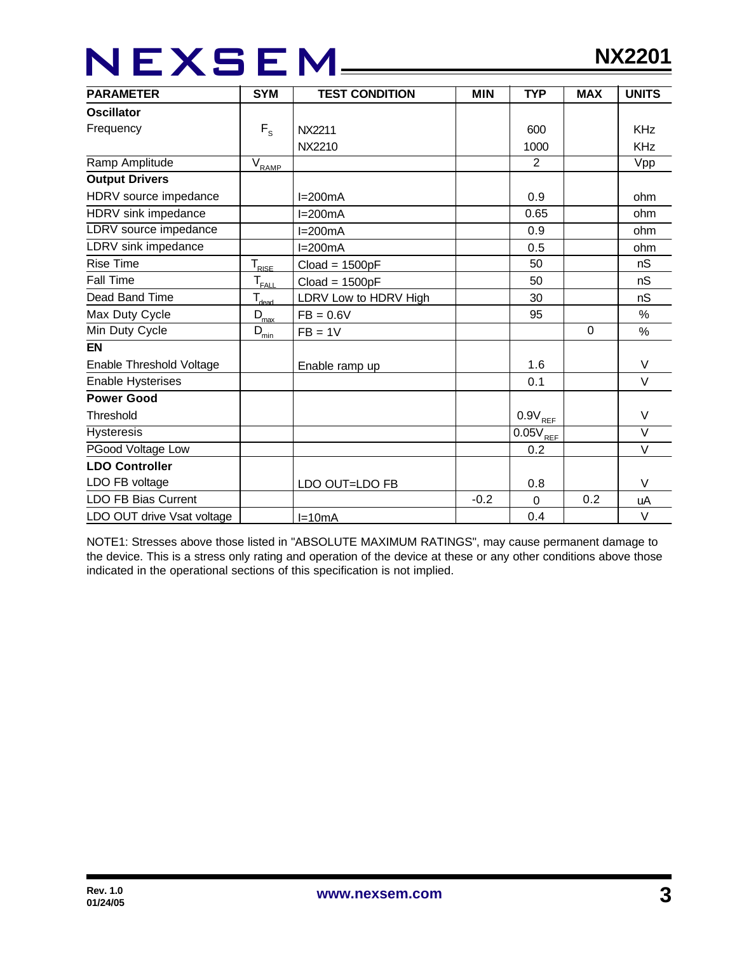### NEXSEM

| <b>PARAMETER</b>           | <b>SYM</b>                               | <b>TEST CONDITION</b> | <b>MIN</b> | <b>TYP</b>              | <b>MAX</b>  | <b>UNITS</b> |
|----------------------------|------------------------------------------|-----------------------|------------|-------------------------|-------------|--------------|
| <b>Oscillator</b>          |                                          |                       |            |                         |             |              |
| Frequency                  | $F_{\rm s}$                              | <b>NX2211</b>         |            | 600                     |             | <b>KHz</b>   |
|                            |                                          | NX2210                |            | 1000                    |             | <b>KHz</b>   |
| Ramp Amplitude             | $\overline{V}_{\underline{\text{RAMP}}}$ |                       |            | $\overline{2}$          |             | Vpp          |
| <b>Output Drivers</b>      |                                          |                       |            |                         |             |              |
| HDRV source impedance      |                                          | $I=200mA$             |            | 0.9                     |             | ohm          |
| HDRV sink impedance        |                                          | $I=200mA$             |            | 0.65                    |             | ohm          |
| LDRV source impedance      |                                          | $I=200mA$             |            | 0.9                     |             | ohm          |
| LDRV sink impedance        |                                          | $I=200mA$             |            | 0.5                     |             | ohm          |
| <b>Rise Time</b>           | $\mathsf{T}_{\mathsf{RISE}}$             | $Cloud = 1500pF$      |            | 50                      |             | nS           |
| <b>Fall Time</b>           | $\mathsf{T}_{\mathsf{FALL}}$             | $Cloud = 1500pF$      |            | 50                      |             | nS           |
| Dead Band Time             | $T_{\text{dead}}$                        | LDRV Low to HDRV High |            | 30                      |             | nS           |
| Max Duty Cycle             | $\mathsf{D}_{\!\!{\rm max}}$             | $FB = 0.6V$           |            | 95                      |             | %            |
| Min Duty Cycle             | $D_{\underline{\text{min}}}$             | $FB = 1V$             |            |                         | $\mathbf 0$ | %            |
| <b>EN</b>                  |                                          |                       |            |                         |             |              |
| Enable Threshold Voltage   |                                          | Enable ramp up        |            | 1.6                     |             | V            |
| <b>Enable Hysterises</b>   |                                          |                       |            | 0.1                     |             | $\vee$       |
| <b>Power Good</b>          |                                          |                       |            |                         |             |              |
| Threshold                  |                                          |                       |            | $0.9 \rm{V_{\rm{REF}}}$ |             | V            |
| <b>Hysteresis</b>          |                                          |                       |            | $0.05V_{REF}$           |             | $\vee$       |
| PGood Voltage Low          |                                          |                       |            | 0.2                     |             | V            |
| <b>LDO Controller</b>      |                                          |                       |            |                         |             |              |
| LDO FB voltage             |                                          | LDO OUT=LDO FB        |            | 0.8                     |             | V            |
| <b>LDO FB Bias Current</b> |                                          |                       | $-0.2$     | $\mathbf 0$             | 0.2         | uA           |
| LDO OUT drive Vsat voltage |                                          | $I=10mA$              |            | 0.4                     |             | V            |

NOTE1: Stresses above those listed in "ABSOLUTE MAXIMUM RATINGS", may cause permanent damage to the device. This is a stress only rating and operation of the device at these or any other conditions above those indicated in the operational sections of this specification is not implied.